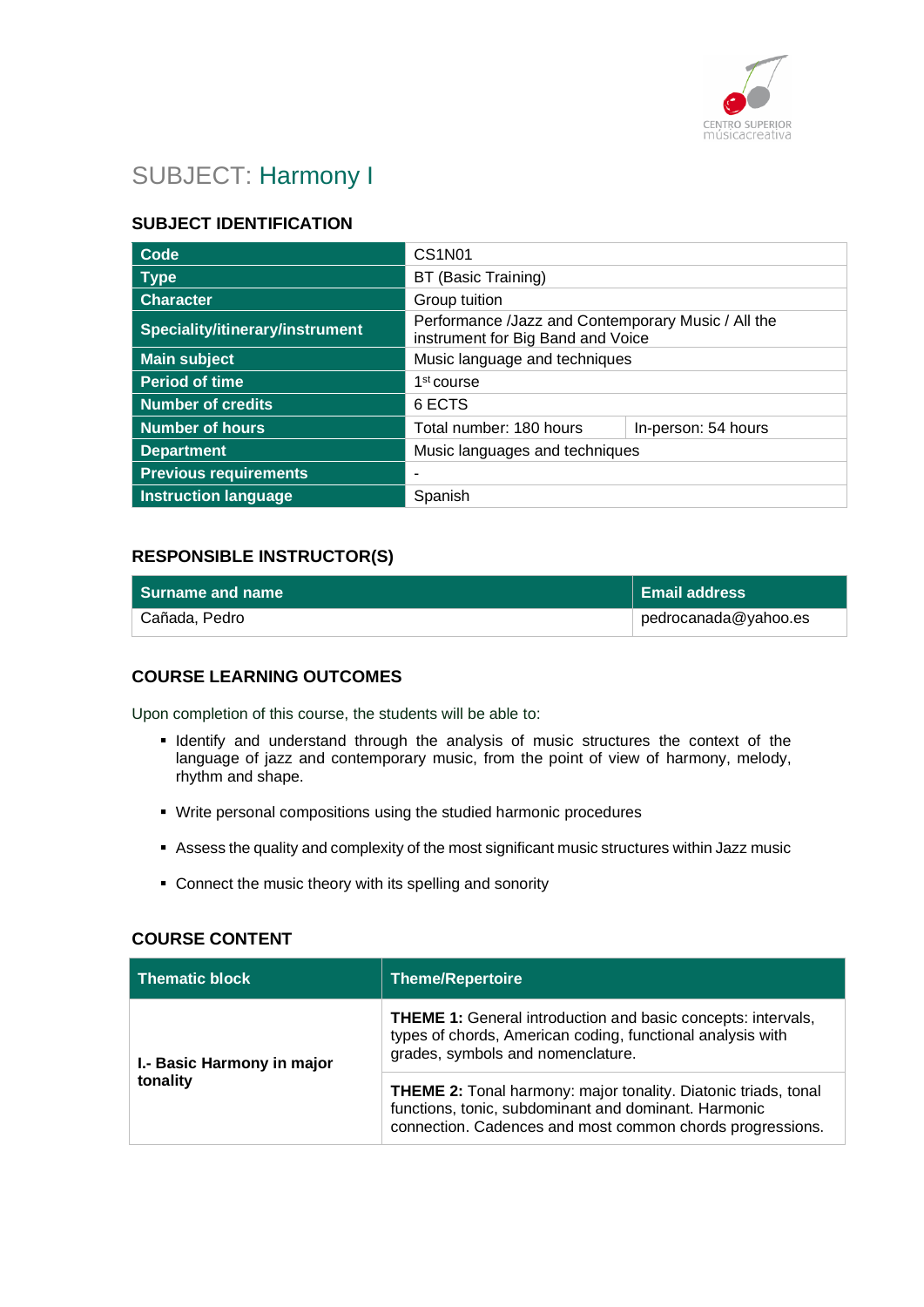

# SUBJECT: Harmony I

# **SUBJECT IDENTIFICATION**

| Code                            | <b>CS1N01</b>                                                                           |                     |
|---------------------------------|-----------------------------------------------------------------------------------------|---------------------|
| <b>Type</b>                     | BT (Basic Training)                                                                     |                     |
| <b>Character</b>                | Group tuition                                                                           |                     |
| Speciality/itinerary/instrument | Performance /Jazz and Contemporary Music / All the<br>instrument for Big Band and Voice |                     |
| <b>Main subject</b>             | Music language and techniques                                                           |                     |
| <b>Period of time</b>           | 1 <sup>st</sup> course                                                                  |                     |
| <b>Number of credits</b>        | 6 ECTS                                                                                  |                     |
| Number of hours                 | Total number: 180 hours                                                                 | In-person: 54 hours |
| <b>Department</b>               | Music languages and techniques                                                          |                     |
| <b>Previous requirements</b>    |                                                                                         |                     |
| <b>Instruction language</b>     | Spanish                                                                                 |                     |

## **RESPONSIBLE INSTRUCTOR(S)**

| <b>Surname and name</b> | Email address        |
|-------------------------|----------------------|
| Cañada, Pedro           | pedrocanada@yahoo.es |

# **COURSE LEARNING OUTCOMES**

Upon completion of this course, the students will be able to:

- **.** Identify and understand through the analysis of music structures the context of the language of jazz and contemporary music, from the point of view of harmony, melody, rhythm and shape.
- Write personal compositions using the studied harmonic procedures
- Assess the quality and complexity of the most significant music structures within Jazz music
- Connect the music theory with its spelling and sonority

### **COURSE CONTENT**

| <b>Thematic block</b>      | Theme/Repertoire                                                                                                                                                                           |
|----------------------------|--------------------------------------------------------------------------------------------------------------------------------------------------------------------------------------------|
| I.- Basic Harmony in major | <b>THEME 1:</b> General introduction and basic concepts: intervals,<br>types of chords, American coding, functional analysis with<br>grades, symbols and nomenclature.                     |
| tonality                   | <b>THEME 2:</b> Tonal harmony: major tonality. Diatonic triads, tonal<br>functions, tonic, subdominant and dominant. Harmonic<br>connection. Cadences and most common chords progressions. |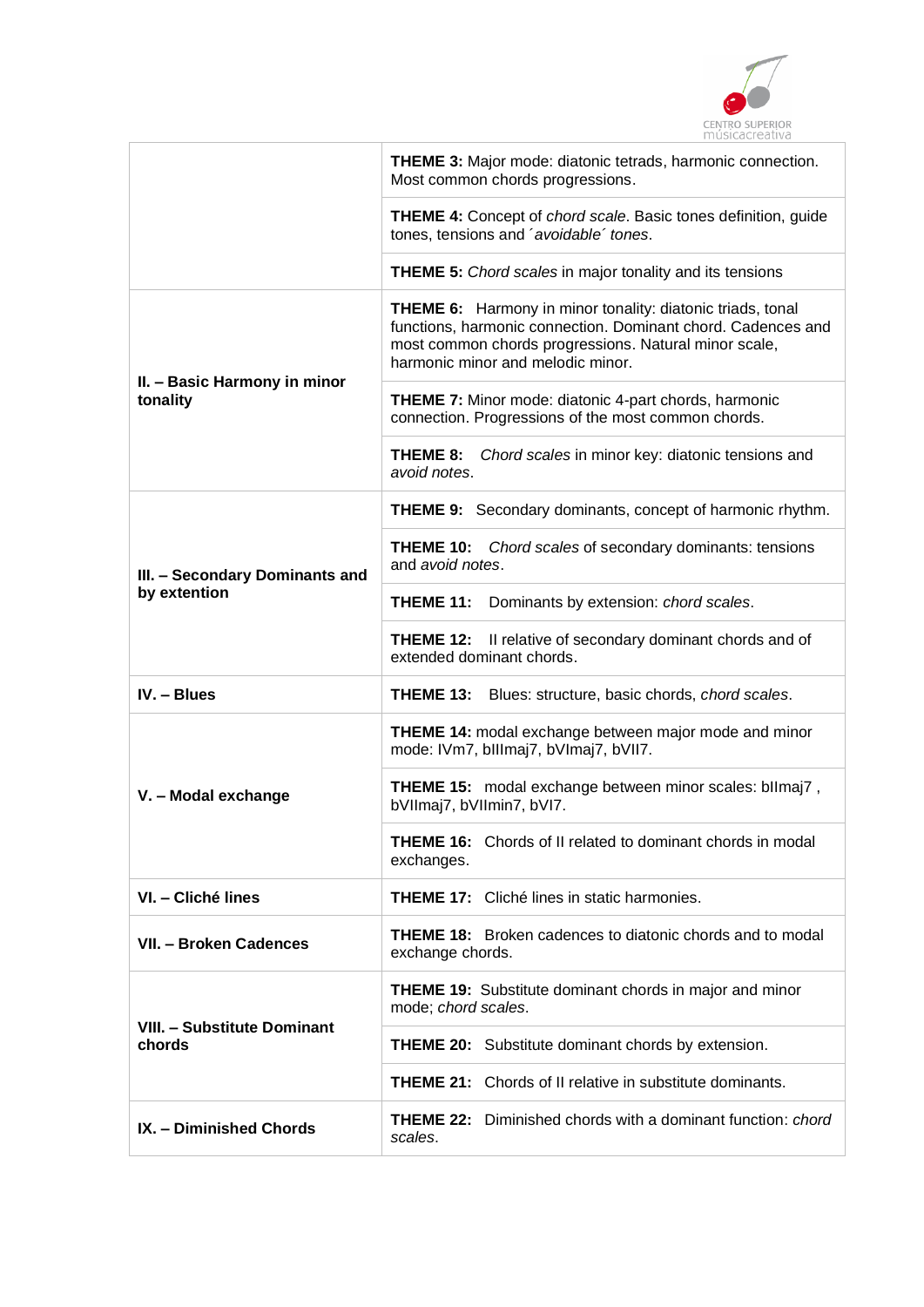

|                                                | <b>THEME 3: Major mode: diatonic tetrads, harmonic connection.</b><br>Most common chords progressions.                                                                                                                          |  |
|------------------------------------------------|---------------------------------------------------------------------------------------------------------------------------------------------------------------------------------------------------------------------------------|--|
|                                                | <b>THEME 4:</b> Concept of <i>chord scale</i> . Basic tones definition, guide<br>tones, tensions and 'avoidable' tones.                                                                                                         |  |
|                                                | <b>THEME 5:</b> Chord scales in major tonality and its tensions                                                                                                                                                                 |  |
| II. - Basic Harmony in minor<br>tonality       | <b>THEME 6:</b> Harmony in minor tonality: diatonic triads, tonal<br>functions, harmonic connection. Dominant chord. Cadences and<br>most common chords progressions. Natural minor scale,<br>harmonic minor and melodic minor. |  |
|                                                | <b>THEME 7:</b> Minor mode: diatonic 4-part chords, harmonic<br>connection. Progressions of the most common chords.                                                                                                             |  |
|                                                | THEME 8:<br>Chord scales in minor key: diatonic tensions and<br>avoid notes.                                                                                                                                                    |  |
| III. - Secondary Dominants and<br>by extention | <b>THEME 9:</b> Secondary dominants, concept of harmonic rhythm.                                                                                                                                                                |  |
|                                                | THEME 10:<br>Chord scales of secondary dominants: tensions<br>and avoid notes.                                                                                                                                                  |  |
|                                                | <b>THEME 11:</b> Dominants by extension: chord scales.                                                                                                                                                                          |  |
|                                                | <b>THEME 12:</b> Il relative of secondary dominant chords and of<br>extended dominant chords.                                                                                                                                   |  |
| IV. - Blues                                    | THEME 13:<br>Blues: structure, basic chords, chord scales.                                                                                                                                                                      |  |
|                                                | <b>THEME 14:</b> modal exchange between major mode and minor<br>mode: IVm7, bIllmaj7, bVImaj7, bVII7.                                                                                                                           |  |
| V. - Modal exchange                            | THEME 15: modal exchange between minor scales: bllmaj7,<br>bVIImaj7, bVIImin7, bVI7.                                                                                                                                            |  |
|                                                | <b>THEME 16:</b> Chords of II related to dominant chords in modal<br>exchanges.                                                                                                                                                 |  |
| VI. - Cliché lines                             | <b>THEME 17:</b> Cliché lines in static harmonies.                                                                                                                                                                              |  |
| VII. - Broken Cadences                         | <b>THEME 18:</b> Broken cadences to diatonic chords and to modal<br>exchange chords.                                                                                                                                            |  |
| <b>VIII. - Substitute Dominant</b><br>chords   | <b>THEME 19:</b> Substitute dominant chords in major and minor<br>mode; chord scales.                                                                                                                                           |  |
|                                                | <b>THEME 20:</b> Substitute dominant chords by extension.                                                                                                                                                                       |  |
|                                                | <b>THEME 21:</b> Chords of II relative in substitute dominants.                                                                                                                                                                 |  |
| IX. - Diminished Chords                        | <b>THEME 22:</b> Diminished chords with a dominant function: <i>chord</i><br>scales.                                                                                                                                            |  |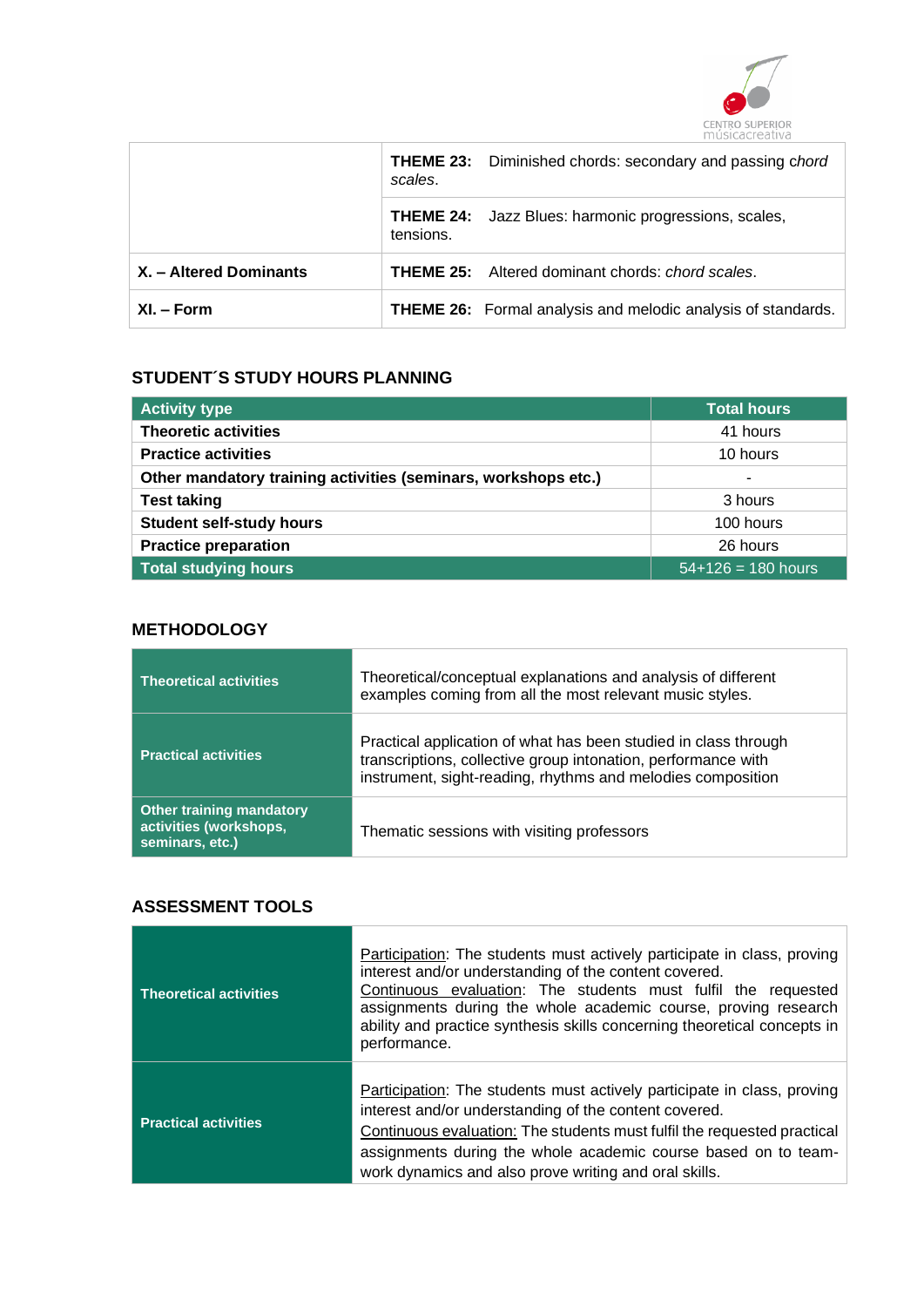

|                        | scales.   | <b>THEME 23:</b> Diminished chords: secondary and passing chord     |
|------------------------|-----------|---------------------------------------------------------------------|
|                        | tensions. | <b>THEME 24:</b> Jazz Blues: harmonic progressions, scales,         |
| X. - Altered Dominants |           | <b>THEME 25:</b> Altered dominant chords: <i>chord scales.</i>      |
| $XI - Form$            |           | <b>THEME 26:</b> Formal analysis and melodic analysis of standards. |

# **STUDENT´S STUDY HOURS PLANNING**

| <b>Activity type</b>                                           | <b>Total hours</b>          |
|----------------------------------------------------------------|-----------------------------|
| <b>Theoretic activities</b>                                    | 41 hours                    |
| <b>Practice activities</b>                                     | 10 hours                    |
| Other mandatory training activities (seminars, workshops etc.) | $\overline{\phantom{a}}$    |
| <b>Test taking</b>                                             | 3 hours                     |
| <b>Student self-study hours</b>                                | 100 hours                   |
| <b>Practice preparation</b>                                    | 26 hours                    |
| <b>Total studying hours</b>                                    | $\sqrt{54+126} = 180$ hours |

## **METHODOLOGY**

| <b>Theoretical activities</b>                                                | Theoretical/conceptual explanations and analysis of different<br>examples coming from all the most relevant music styles.                                                                       |
|------------------------------------------------------------------------------|-------------------------------------------------------------------------------------------------------------------------------------------------------------------------------------------------|
| <b>Practical activities</b>                                                  | Practical application of what has been studied in class through<br>transcriptions, collective group intonation, performance with<br>instrument, sight-reading, rhythms and melodies composition |
| <b>Other training mandatory</b><br>activities (workshops,<br>seminars, etc.) | Thematic sessions with visiting professors                                                                                                                                                      |

# **ASSESSMENT TOOLS**

| <b>Theoretical activities</b> | <b>Participation:</b> The students must actively participate in class, proving<br>interest and/or understanding of the content covered.<br>Continuous evaluation: The students must fulfil the requested<br>assignments during the whole academic course, proving research<br>ability and practice synthesis skills concerning theoretical concepts in<br>performance. |
|-------------------------------|------------------------------------------------------------------------------------------------------------------------------------------------------------------------------------------------------------------------------------------------------------------------------------------------------------------------------------------------------------------------|
| <b>Practical activities</b>   | Participation: The students must actively participate in class, proving<br>interest and/or understanding of the content covered.<br>Continuous evaluation: The students must fulfil the requested practical<br>assignments during the whole academic course based on to team-<br>work dynamics and also prove writing and oral skills.                                 |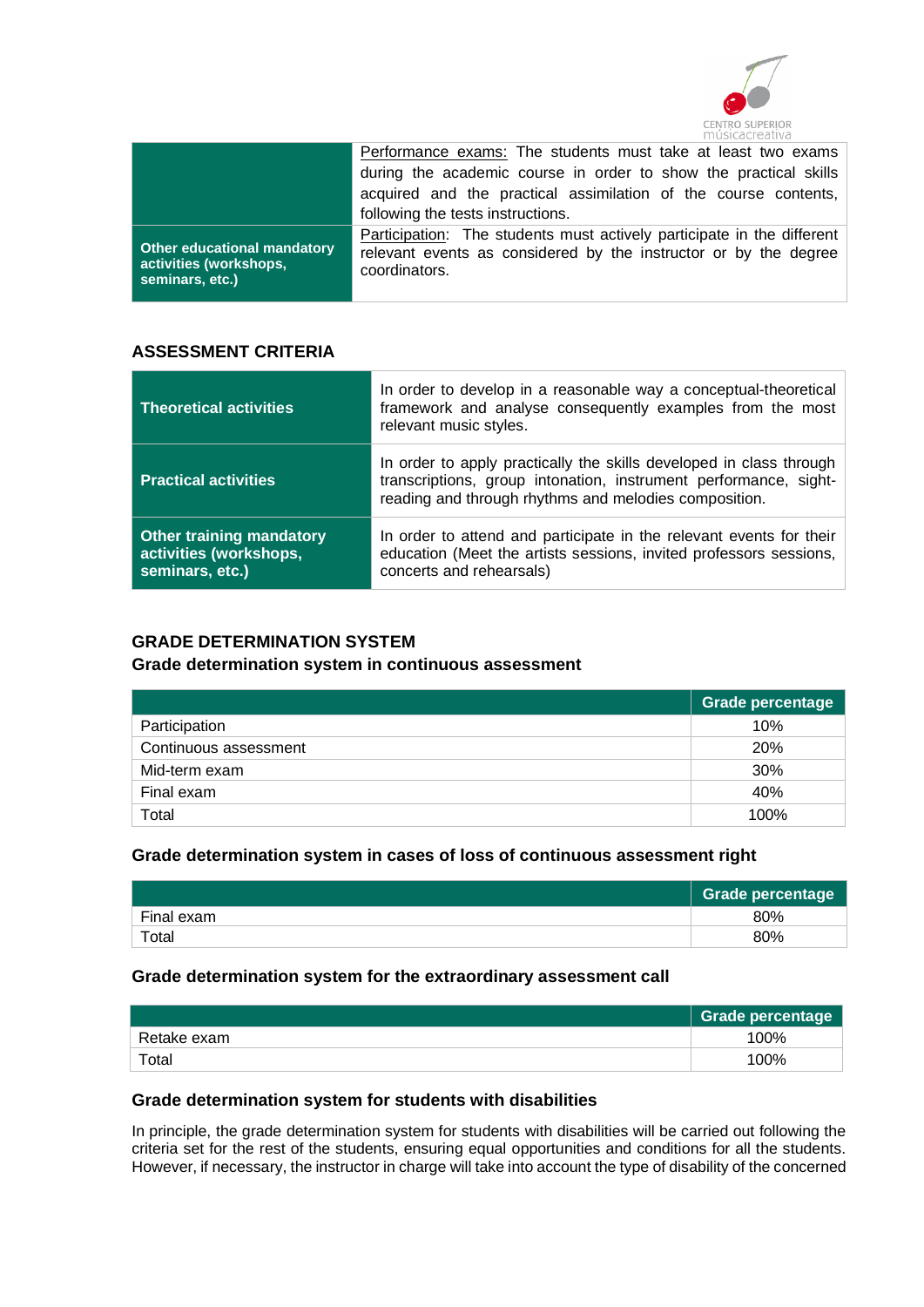

|                                                                                 | Performance exams: The students must take at least two exams                                                                                                       |
|---------------------------------------------------------------------------------|--------------------------------------------------------------------------------------------------------------------------------------------------------------------|
|                                                                                 | during the academic course in order to show the practical skills                                                                                                   |
|                                                                                 | acquired and the practical assimilation of the course contents,<br>following the tests instructions.                                                               |
| <b>Other educational mandatory</b><br>activities (workshops,<br>seminars, etc.) | <b>Participation:</b> The students must actively participate in the different<br>relevant events as considered by the instructor or by the degree<br>coordinators. |

# **ASSESSMENT CRITERIA**

| <b>Theoretical activities</b>                                                | In order to develop in a reasonable way a conceptual-theoretical<br>framework and analyse consequently examples from the most<br>relevant music styles.                                          |
|------------------------------------------------------------------------------|--------------------------------------------------------------------------------------------------------------------------------------------------------------------------------------------------|
| <b>Practical activities</b>                                                  | In order to apply practically the skills developed in class through<br>transcriptions, group intonation, instrument performance, sight-<br>reading and through rhythms and melodies composition. |
| <b>Other training mandatory</b><br>activities (workshops,<br>seminars, etc.) | In order to attend and participate in the relevant events for their<br>education (Meet the artists sessions, invited professors sessions,<br>concerts and rehearsals)                            |

## **GRADE DETERMINATION SYSTEM**

## **Grade determination system in continuous assessment**

|                       | <b>Grade percentage</b> |
|-----------------------|-------------------------|
| Participation         | 10%                     |
| Continuous assessment | <b>20%</b>              |
| Mid-term exam         | 30%                     |
| Final exam            | 40%                     |
| Total                 | 100%                    |

## **Grade determination system in cases of loss of continuous assessment right**

|             | <b>Grade percentage</b> |
|-------------|-------------------------|
| Final exam  | 80%                     |
| $\tau$ otal | 80%                     |

#### **Grade determination system for the extraordinary assessment call**

|             | Grade percentage |
|-------------|------------------|
| Retake exam | 100%             |
| Total       | 100%             |

## **Grade determination system for students with disabilities**

In principle, the grade determination system for students with disabilities will be carried out following the criteria set for the rest of the students, ensuring equal opportunities and conditions for all the students. However, if necessary, the instructor in charge will take into account the type of disability of the concerned